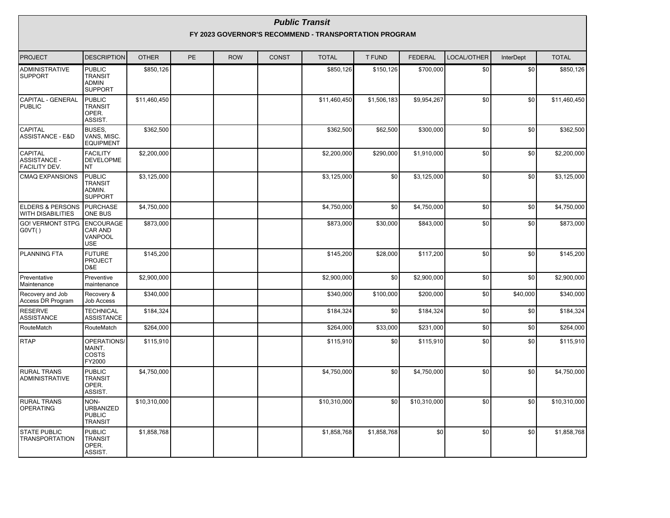|                                                         |                                                                   |              |    |            |              | <b>Public Transit</b><br>FY 2023 GOVERNOR'S RECOMMEND - TRANSPORTATION PROGRAM |               |                |             |                  |              |
|---------------------------------------------------------|-------------------------------------------------------------------|--------------|----|------------|--------------|--------------------------------------------------------------------------------|---------------|----------------|-------------|------------------|--------------|
| PROJECT                                                 | <b>DESCRIPTION</b>                                                | <b>OTHER</b> | PE | <b>ROW</b> | <b>CONST</b> | <b>TOTAL</b>                                                                   | <b>T FUND</b> | <b>FEDERAL</b> | LOCAL/OTHER | <b>InterDept</b> | <b>TOTAL</b> |
| ADMINISTRATIVE<br><b>SUPPORT</b>                        | <b>PUBLIC</b><br><b>TRANSIT</b><br><b>ADMIN</b><br><b>SUPPORT</b> | \$850,126    |    |            |              | \$850,126                                                                      | \$150,126     | \$700,000      | \$0         | \$0              | \$850,126    |
| CAPITAL - GENERAL<br><b>PUBLIC</b>                      | <b>PUBLIC</b><br><b>TRANSIT</b><br>OPER.<br>ASSIST.               | \$11,460,450 |    |            |              | \$11,460,450                                                                   | \$1,506,183   | \$9,954,267    | \$0         | \$0              | \$11,460,450 |
| CAPITAL<br><b>ASSISTANCE - E&amp;D</b>                  | BUSES,<br>VANS, MISC.<br><b>EQUIPMENT</b>                         | \$362,500    |    |            |              | \$362,500                                                                      | \$62,500      | \$300,000      | \$0         | \$0              | \$362,500    |
| <b>CAPITAL</b><br><b>ASSISTANCE -</b><br>FACILITY DEV.  | <b>FACILITY</b><br><b>DEVELOPME</b><br>NT                         | \$2,200,000  |    |            |              | \$2,200,000                                                                    | \$290,000     | \$1,910,000    | \$0         | \$0              | \$2,200,000  |
| <b>CMAQ EXPANSIONS</b>                                  | <b>PUBLIC</b><br><b>TRANSIT</b><br>ADMIN.<br><b>SUPPORT</b>       | \$3,125,000  |    |            |              | \$3,125,000                                                                    | \$0           | \$3,125,000    | \$0         | \$0              | \$3,125,000  |
| <b>ELDERS &amp; PERSONS</b><br><b>WITH DISABILITIES</b> | <b>PURCHASE</b><br><b>ONE BUS</b>                                 | \$4,750,000  |    |            |              | \$4,750,000                                                                    | \$0           | \$4,750,000    | \$0         | \$0              | \$4,750,000  |
| <b>GO! VERMONT STPG</b><br>G0VT()                       | <b>ENCOURAGE</b><br>CAR AND<br>VANPOOL<br><b>USE</b>              | \$873.000    |    |            |              | \$873,000                                                                      | \$30,000      | \$843.000      | \$0         | \$0              | \$873,000    |
| <b>PLANNING FTA</b>                                     | <b>FUTURE</b><br>PROJECT<br>D&E                                   | \$145,200    |    |            |              | \$145,200                                                                      | \$28,000      | \$117,200      | \$0         | \$0              | \$145,200    |
| Preventative<br>Maintenance                             | Preventive<br>maintenance                                         | \$2,900,000  |    |            |              | \$2,900,000                                                                    | \$0           | \$2,900,000    | \$0         | \$0              | \$2,900,000  |
| Recovery and Job<br>Access DR Program                   | Recovery &<br><b>Job Access</b>                                   | \$340,000    |    |            |              | \$340,000                                                                      | \$100,000     | \$200,000      | \$0         | \$40,000         | \$340,000    |
| <b>RESERVE</b><br><b>ASSISTANCE</b>                     | <b>TECHNICAL</b><br><b>ASSISTANCE</b>                             | \$184,324    |    |            |              | \$184,324                                                                      | \$0           | \$184,324      | \$0         | \$0              | \$184,324    |
| RouteMatch                                              | RouteMatch                                                        | \$264,000    |    |            |              | \$264,000                                                                      | \$33,000      | \$231,000      | \$0         | \$0              | \$264,000    |
| <b>RTAP</b>                                             | OPERATIONS/<br>MAINT.<br><b>COSTS</b><br>FY2000                   | \$115,910    |    |            |              | \$115,910                                                                      | \$0           | \$115,910      | \$0         | \$0              | \$115,910    |
| <b>RURAL TRANS</b><br>ADMINISTRATIVE                    | <b>PUBLIC</b><br><b>TRANSIT</b><br>OPER.<br>ASSIST.               | \$4,750,000  |    |            |              | \$4,750,000                                                                    | \$0           | \$4,750,000    | \$0         | \$0              | \$4,750,000  |
| <b>RURAL TRANS</b><br><b>OPERATING</b>                  | NON-<br><b>URBANIZED</b><br><b>PUBLIC</b><br><b>TRANSIT</b>       | \$10,310,000 |    |            |              | \$10,310,000                                                                   | \$0           | \$10,310,000   | \$0         | \$0              | \$10,310,000 |
| <b>STATE PUBLIC</b><br><b>TRANSPORTATION</b>            | <b>PUBLIC</b><br><b>TRANSIT</b><br>OPER.<br>ASSIST.               | \$1,858,768  |    |            |              | \$1,858,768                                                                    | \$1,858,768   | \$0            | \$0         | \$0              | \$1,858,768  |

 $\blacksquare$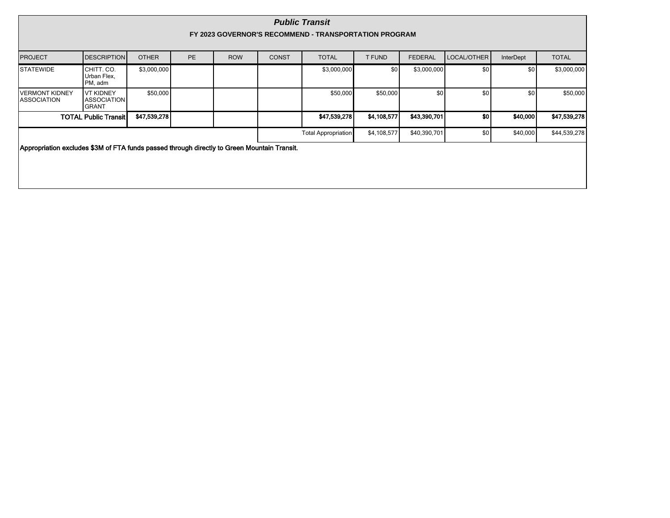|                                      | <b>Public Transit</b><br>FY 2023 GOVERNOR'S RECOMMEND - TRANSPORTATION PROGRAM              |              |           |            |              |                            |                  |                |                  |           |              |  |  |
|--------------------------------------|---------------------------------------------------------------------------------------------|--------------|-----------|------------|--------------|----------------------------|------------------|----------------|------------------|-----------|--------------|--|--|
| <b>PROJECT</b>                       | <b>DESCRIPTION</b>                                                                          | <b>OTHER</b> | <b>PE</b> | <b>ROW</b> | <b>CONST</b> | <b>TOTAL</b>               | <b>T FUND</b>    | <b>FEDERAL</b> | LOCAL/OTHER      | InterDept | <b>TOTAL</b> |  |  |
| <b>STATEWIDE</b>                     | CHITT. CO.<br>Urban Flex,<br>PM, adm                                                        | \$3,000,000  |           |            |              | \$3,000,000                | \$0 <sub>1</sub> | \$3,000,000    | \$0 <sub>l</sub> | \$0       | \$3,000,000  |  |  |
| <b>VERMONT KIDNEY</b><br>ASSOCIATION | VT KIDNEY<br><b>ASSOCIATION</b><br><b>GRANT</b>                                             | \$50,000     |           |            |              | \$50,000                   | \$50,000         | \$0            | \$0              | \$0       | \$50,000     |  |  |
|                                      | <b>TOTAL Public Transit</b>                                                                 | \$47,539,278 |           |            |              | \$47,539,278               | \$4,108,577      | \$43,390,701   | so l             | \$40,000  | \$47,539,278 |  |  |
|                                      |                                                                                             |              |           |            |              | <b>Total Appropriation</b> | \$4,108,577      | \$40,390,701   | \$0 <sub>1</sub> | \$40,000  | \$44,539,278 |  |  |
|                                      | Appropriation excludes \$3M of FTA funds passed through directly to Green Mountain Transit. |              |           |            |              |                            |                  |                |                  |           |              |  |  |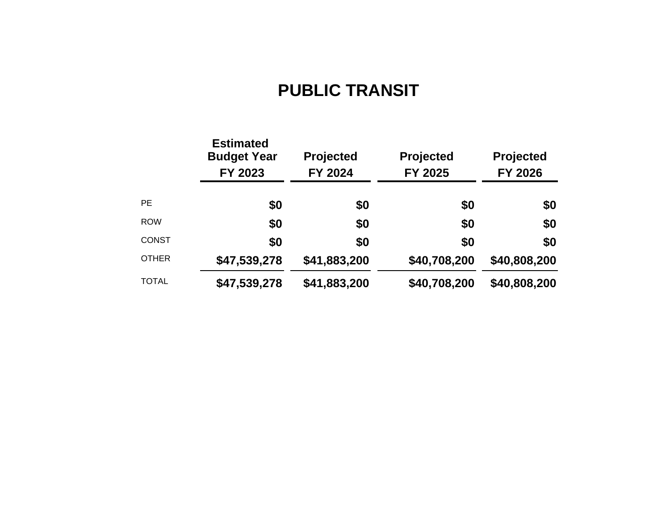# **PUBLIC TRANSIT**

|              | <b>Estimated</b><br><b>Budget Year</b><br>FY 2023 | <b>Projected</b><br>FY 2024 | Projected<br>FY 2025 | <b>Projected</b><br>FY 2026 |
|--------------|---------------------------------------------------|-----------------------------|----------------------|-----------------------------|
| <b>PE</b>    | \$0                                               | \$0                         | \$0                  | \$0                         |
| <b>ROW</b>   | \$0                                               | \$0                         | \$0                  | \$0                         |
| <b>CONST</b> | \$0                                               | \$0                         | \$0                  | \$0                         |
| <b>OTHER</b> | \$47,539,278                                      | \$41,883,200                | \$40,708,200         | \$40,808,200                |
| <b>TOTAL</b> | \$47,539,278                                      | \$41,883,200                | \$40,708,200         | \$40,808,200                |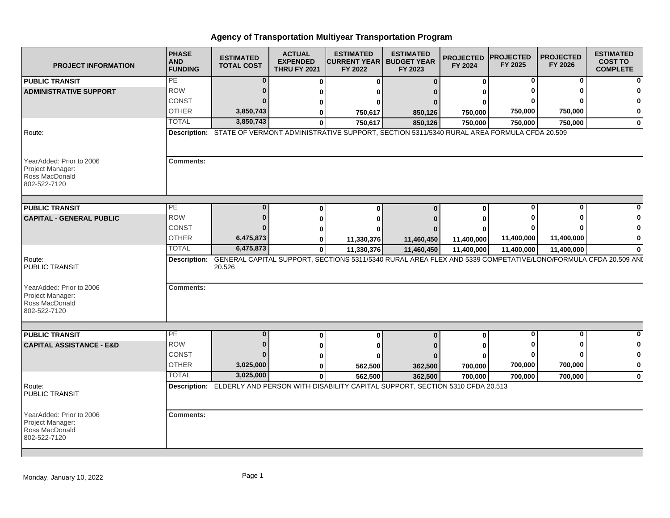| <b>PROJECT INFORMATION</b>                                                     | <b>PHASE</b><br><b>AND</b><br><b>FUNDING</b> | <b>ESTIMATED</b><br><b>TOTAL COST</b> | <b>ACTUAL</b><br><b>EXPENDED</b><br><b>THRU FY 2021</b> | <b>ESTIMATED</b><br><b>CURRENT YEAR   BUDGET YEAR</b><br>FY 2022                                              | <b>ESTIMATED</b><br>FY 2023 | <b>PROJECTED</b><br>FY 2024 | <b>PROJECTED</b><br>FY 2025 | <b>PROJECTED</b><br>FY 2026 | <b>ESTIMATED</b><br><b>COST TO</b><br><b>COMPLETE</b> |
|--------------------------------------------------------------------------------|----------------------------------------------|---------------------------------------|---------------------------------------------------------|---------------------------------------------------------------------------------------------------------------|-----------------------------|-----------------------------|-----------------------------|-----------------------------|-------------------------------------------------------|
| <b>PUBLIC TRANSIT</b>                                                          | PE                                           | $\Omega$                              | $\Omega$                                                | $\bf{0}$                                                                                                      | $\bf{0}$                    | $\mathbf{0}$                | 0                           | $\bf{0}$                    |                                                       |
| <b>ADMINISTRATIVE SUPPORT</b>                                                  | <b>ROW</b>                                   | $\bf{0}$                              |                                                         |                                                                                                               |                             |                             | $\bf{0}$                    | 0                           |                                                       |
|                                                                                | CONST                                        | ŋ                                     |                                                         | $\Omega$                                                                                                      |                             |                             | O                           |                             |                                                       |
|                                                                                | <b>OTHER</b>                                 | 3,850,743                             |                                                         | 750,617                                                                                                       | 850,126                     | 750,000                     | 750,000                     | 750,000                     | 0                                                     |
|                                                                                | <b>TOTAL</b>                                 | 3,850,743                             | $\mathbf{0}$                                            | 750,617                                                                                                       | 850,126                     | 750,000                     | 750,000                     | 750,000                     | $\mathbf{0}$                                          |
| Route:                                                                         |                                              |                                       |                                                         | Description: STATE OF VERMONT ADMINISTRATIVE SUPPORT, SECTION 5311/5340 RURAL AREA FORMULA CFDA 20.509        |                             |                             |                             |                             |                                                       |
| YearAdded: Prior to 2006<br>Project Manager:<br>Ross MacDonald<br>802-522-7120 | <b>Comments:</b>                             |                                       |                                                         |                                                                                                               |                             |                             |                             |                             |                                                       |
| <b>PUBLIC TRANSIT</b>                                                          | PE                                           | $\mathbf 0$                           |                                                         | $\bf{0}$                                                                                                      | $\bf{0}$                    | 0                           | 0                           | 0                           |                                                       |
| <b>CAPITAL - GENERAL PUBLIC</b>                                                | <b>ROW</b>                                   | $\mathbf{0}$                          |                                                         | $\Omega$                                                                                                      |                             |                             | $\mathbf 0$                 | 0                           |                                                       |
|                                                                                | <b>CONST</b>                                 | 0                                     |                                                         | $\mathbf{0}$                                                                                                  |                             |                             |                             |                             |                                                       |
|                                                                                | <b>OTHER</b>                                 | 6,475,873                             | O                                                       | 11,330,376                                                                                                    | 11,460,450                  | 11,400,000                  | 11,400,000                  | 11,400,000                  | 0                                                     |
|                                                                                | <b>TOTAL</b>                                 | 6,475,873                             | $\bf{0}$                                                | 11,330,376                                                                                                    | 11,460,450                  | 11,400,000                  | 11,400,000                  | 11,400,000                  | $\Omega$                                              |
| Route:<br><b>PUBLIC TRANSIT</b>                                                | <b>Description:</b>                          | 20.526                                |                                                         | GENERAL CAPITAL SUPPORT, SECTIONS 5311/5340 RURAL AREA FLEX AND 5339 COMPETATIVE/LONO/FORMULA CFDA 20.509 ANI |                             |                             |                             |                             |                                                       |
| YearAdded: Prior to 2006<br>Project Manager:<br>Ross MacDonald<br>802-522-7120 | <b>Comments:</b>                             |                                       |                                                         |                                                                                                               |                             |                             |                             |                             |                                                       |
| <b>PUBLIC TRANSIT</b>                                                          | PE                                           | $\mathbf{0}$                          |                                                         |                                                                                                               |                             |                             | $\overline{0}$              | $\mathbf 0$                 |                                                       |
| <b>CAPITAL ASSISTANCE - E&amp;D</b>                                            | <b>ROW</b>                                   | $\bf{0}$                              | $\Omega$                                                | $\bf{0}$                                                                                                      | $\bf{0}$                    | $\mathbf{0}$                | 0                           | 0                           |                                                       |
|                                                                                | <b>CONST</b>                                 | U                                     |                                                         | 0                                                                                                             |                             |                             | O                           |                             | $\bf{0}$                                              |
|                                                                                | <b>OTHER</b>                                 | 3,025,000                             |                                                         | 562,500                                                                                                       | 362,500                     | 700,000                     | 700,000                     | 700,000                     | $\bf{0}$                                              |
|                                                                                | <b>TOTAL</b>                                 | 3,025,000                             | $\bf{0}$                                                | 562,500                                                                                                       | 362,500                     | 700,000                     | 700,000                     | 700,000                     | $\mathbf{0}$                                          |
| Route:<br>PUBLIC TRANSIT                                                       |                                              |                                       |                                                         | Description: ELDERLY AND PERSON WITH DISABILITY CAPITAL SUPPORT, SECTION 5310 CFDA 20.513                     |                             |                             |                             |                             |                                                       |
| YearAdded: Prior to 2006<br>Project Manager:<br>Ross MacDonald<br>802-522-7120 | <b>Comments:</b>                             |                                       |                                                         |                                                                                                               |                             |                             |                             |                             |                                                       |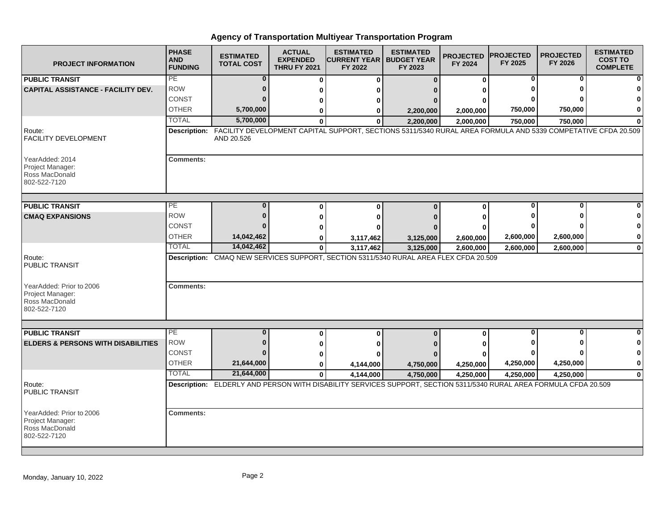| <b>PROJECT INFORMATION</b>                                                      | <b>PHASE</b><br><b>AND</b><br><b>FUNDING</b> | <b>ESTIMATED</b><br><b>TOTAL COST</b> | <b>ACTUAL</b><br><b>EXPENDED</b><br><b>THRU FY 2021</b> | <b>ESTIMATED</b><br><b>ICURRENT YEAR I</b><br>FY 2022                                                                           | <b>ESTIMATED</b><br><b>BUDGET YEAR</b><br>FY 2023 | <b>PROJECTED</b><br>FY 2024 | <b>IPROJECTED</b><br>FY 2025 | <b>PROJECTED</b><br>FY 2026 | <b>ESTIMATED</b><br><b>COST TO</b><br><b>COMPLETE</b> |
|---------------------------------------------------------------------------------|----------------------------------------------|---------------------------------------|---------------------------------------------------------|---------------------------------------------------------------------------------------------------------------------------------|---------------------------------------------------|-----------------------------|------------------------------|-----------------------------|-------------------------------------------------------|
| <b>PUBLIC TRANSIT</b>                                                           | PE                                           | $\bf{0}$                              | $\bf{0}$                                                | $\bf{0}$                                                                                                                        | $\Omega$                                          | $\bf{0}$                    | 0                            | 0                           |                                                       |
| <b>CAPITAL ASSISTANCE - FACILITY DEV.</b>                                       | <b>ROW</b>                                   | 0                                     | U                                                       |                                                                                                                                 |                                                   | U                           |                              | n                           |                                                       |
|                                                                                 | CONST                                        |                                       | ŋ                                                       |                                                                                                                                 |                                                   | ŋ                           |                              |                             |                                                       |
|                                                                                 | <b>OTHER</b>                                 | 5,700,000                             | 0                                                       | 0                                                                                                                               | 2,200,000                                         | 2,000,000                   | 750,000                      | 750,000                     | $\mathbf 0$                                           |
|                                                                                 | <b>TOTAL</b>                                 | 5,700,000                             | Λ                                                       | $\bf{0}$                                                                                                                        | 2,200,000                                         | 2,000,000                   | 750,000                      | 750,000                     |                                                       |
| Route:<br><b>FACILITY DEVELOPMENT</b>                                           |                                              | AND 20.526                            |                                                         | Description: FACILITY DEVELOPMENT CAPITAL SUPPORT, SECTIONS 5311/5340 RURAL AREA FORMULA AND 5339 COMPETATIVE CFDA 20.509       |                                                   |                             |                              |                             |                                                       |
| YearAdded: 2014<br>Project Manager:<br>Ross MacDonald<br>802-522-7120           | <b>Comments:</b>                             |                                       |                                                         |                                                                                                                                 |                                                   |                             |                              |                             |                                                       |
| <b>PUBLIC TRANSIT</b>                                                           | <b>PE</b>                                    | $\Omega$                              | O                                                       | $\Omega$                                                                                                                        | $\Omega$                                          |                             | $\bf{0}$                     | O                           |                                                       |
| <b>CMAQ EXPANSIONS</b>                                                          | <b>ROW</b>                                   | $\Omega$                              |                                                         |                                                                                                                                 |                                                   | $\bf{0}$                    |                              |                             |                                                       |
|                                                                                 | <b>CONST</b>                                 |                                       |                                                         |                                                                                                                                 |                                                   | U                           |                              |                             | 0                                                     |
|                                                                                 | <b>OTHER</b>                                 | 14,042,462                            |                                                         |                                                                                                                                 |                                                   |                             | 2,600,000                    | 2,600,000                   | 0                                                     |
|                                                                                 | <b>TOTAL</b>                                 | 14,042,462                            | 0<br>$\mathbf 0$                                        | 3,117,462<br>3,117,462                                                                                                          | 3,125,000<br>3,125,000                            | 2,600,000<br>2,600,000      | 2,600,000                    | 2,600,000                   | $\mathbf 0$                                           |
| Route:<br><b>PUBLIC TRANSIT</b><br>YearAdded: Prior to 2006<br>Project Manager: | <b>Comments:</b>                             |                                       |                                                         | Description: CMAQ NEW SERVICES SUPPORT, SECTION 5311/5340 RURAL AREA FLEX CFDA 20.509                                           |                                                   |                             |                              |                             |                                                       |
| Ross MacDonald<br>802-522-7120                                                  |                                              |                                       |                                                         |                                                                                                                                 |                                                   |                             |                              | O                           |                                                       |
| <b>PUBLIC TRANSIT</b>                                                           | PE<br><b>ROW</b>                             | $\bf{0}$<br>$\Omega$                  | $\Omega$                                                | 0                                                                                                                               | $\bf{0}$                                          | 0                           | $\bf{0}$                     |                             | 0                                                     |
| <b>ELDERS &amp; PERSONS WITH DISABILITIES</b>                                   |                                              |                                       | 0                                                       | 0                                                                                                                               |                                                   |                             |                              |                             |                                                       |
|                                                                                 | <b>CONST</b>                                 | n                                     |                                                         |                                                                                                                                 |                                                   |                             |                              |                             | 0                                                     |
|                                                                                 | <b>OTHER</b><br><b>TOTAL</b>                 | 21,644,000                            | 0                                                       | 4,144,000                                                                                                                       | 4,750,000                                         | 4,250,000                   | 4,250,000                    | 4,250,000                   | $\pmb{0}$                                             |
| Route:<br>PUBLIC TRANSIT                                                        |                                              | 21,644,000                            | $\mathbf{0}$                                            | 4,144,000<br>Description: ELDERLY AND PERSON WITH DISABILITY SERVICES SUPPORT, SECTION 5311/5340 RURAL AREA FORMULA CFDA 20.509 | 4,750,000                                         | 4,250,000                   | 4,250,000                    | 4,250,000                   | $\mathbf 0$                                           |
| YearAdded: Prior to 2006<br>Project Manager:<br>Ross MacDonald<br>802-522-7120  | <b>Comments:</b>                             |                                       |                                                         |                                                                                                                                 |                                                   |                             |                              |                             |                                                       |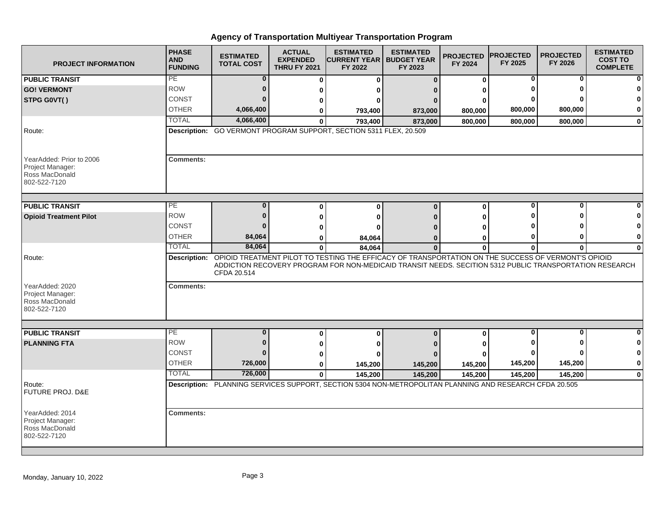| <b>PROJECT INFORMATION</b>                                                     | <b>PHASE</b><br><b>AND</b><br><b>FUNDING</b> | <b>ESTIMATED</b><br><b>TOTAL COST</b> | <b>ACTUAL</b><br><b>EXPENDED</b><br><b>THRU FY 2021</b> | <b>ESTIMATED</b><br><b>CURRENT YEAR   BUDGET YEAR</b><br>FY 2022                                                                                                                                                            | <b>ESTIMATED</b><br>FY 2023 | <b>PROJECTED</b><br>FY 2024 | <b>PROJECTED</b><br>FY 2025 | <b>PROJECTED</b><br>FY 2026 | <b>ESTIMATED</b><br><b>COST TO</b><br><b>COMPLETE</b> |
|--------------------------------------------------------------------------------|----------------------------------------------|---------------------------------------|---------------------------------------------------------|-----------------------------------------------------------------------------------------------------------------------------------------------------------------------------------------------------------------------------|-----------------------------|-----------------------------|-----------------------------|-----------------------------|-------------------------------------------------------|
| <b>PUBLIC TRANSIT</b>                                                          | PE                                           | $\bf{0}$                              | 0                                                       | O                                                                                                                                                                                                                           | $\Omega$                    | 0                           | 0                           | 0                           |                                                       |
| <b>GO! VERMONT</b>                                                             | <b>ROW</b>                                   | 0                                     | U                                                       |                                                                                                                                                                                                                             |                             | ŋ                           |                             |                             |                                                       |
| STPG G0VT()                                                                    | <b>CONST</b>                                 | $\Omega$                              | U                                                       |                                                                                                                                                                                                                             |                             | o                           |                             |                             |                                                       |
|                                                                                | <b>OTHER</b>                                 | 4,066,400                             | ŋ                                                       | 793,400                                                                                                                                                                                                                     | 873,000                     | 800,000                     | 800,000                     | 800,000                     | $\bf{0}$                                              |
|                                                                                | <b>TOTAL</b>                                 | 4,066,400                             | 0                                                       | 793,400                                                                                                                                                                                                                     | 873,000                     | 800,000                     | 800,000                     | 800,000                     | $\mathbf 0$                                           |
| Route:                                                                         |                                              |                                       |                                                         | Description: GO VERMONT PROGRAM SUPPORT, SECTION 5311 FLEX, 20.509                                                                                                                                                          |                             |                             |                             |                             |                                                       |
| YearAdded: Prior to 2006<br>Project Manager:<br>Ross MacDonald<br>802-522-7120 | <b>Comments:</b>                             |                                       |                                                         |                                                                                                                                                                                                                             |                             |                             |                             |                             |                                                       |
| <b>PUBLIC TRANSIT</b>                                                          | PE                                           | $\bf{0}$                              | $\bf{0}$                                                | ŋ                                                                                                                                                                                                                           | $\Omega$                    | $\bf{0}$                    | 0                           | 0                           |                                                       |
| <b>Opioid Treatment Pilot</b>                                                  | <b>ROW</b>                                   | $\mathbf{0}$                          | U                                                       |                                                                                                                                                                                                                             |                             | ŋ                           |                             | ŋ                           |                                                       |
|                                                                                | <b>CONST</b>                                 |                                       | n                                                       |                                                                                                                                                                                                                             |                             |                             |                             |                             |                                                       |
|                                                                                | <b>OTHER</b>                                 | 84,064                                | 0                                                       | 84,064                                                                                                                                                                                                                      |                             | 0                           | o                           | o                           | 0                                                     |
|                                                                                | <b>TOTAL</b>                                 | 84,064                                | 0                                                       | 84,064                                                                                                                                                                                                                      | $\bf{0}$                    | $\bf{0}$                    | 0                           | 0                           | $\bf{0}$                                              |
| Route:                                                                         |                                              | CFDA 20.514                           |                                                         | Description: OPIOID TREATMENT PILOT TO TESTING THE EFFICACY OF TRANSPORTATION ON THE SUCCESS OF VERMONT'S OPIOID<br>ADDICTION RECOVERY PROGRAM FOR NON-MEDICAID TRANSIT NEEDS. SECITION 5312 PUBLIC TRANSPORTATION RESEARCH |                             |                             |                             |                             |                                                       |
| YearAdded: 2020<br>Project Manager:<br>Ross MacDonald<br>802-522-7120          | <b>Comments:</b>                             |                                       |                                                         |                                                                                                                                                                                                                             |                             |                             |                             |                             |                                                       |
|                                                                                | <b>PE</b>                                    | $\bf{0}$                              |                                                         |                                                                                                                                                                                                                             |                             |                             | 0                           | 0                           |                                                       |
| <b>PUBLIC TRANSIT</b>                                                          | <b>ROW</b>                                   | $\mathbf{0}$                          | 0                                                       | $\bf{0}$                                                                                                                                                                                                                    | $\Omega$                    | 0                           |                             |                             | O                                                     |
| <b>PLANNING FTA</b>                                                            | CONST                                        | $\Omega$                              | 0                                                       |                                                                                                                                                                                                                             |                             |                             |                             |                             | 0                                                     |
|                                                                                | <b>OTHER</b>                                 | 726,000                               | 0                                                       |                                                                                                                                                                                                                             |                             |                             | 145,200                     | 145,200                     | 0                                                     |
|                                                                                | <b>TOTAL</b>                                 | 726,000                               | 0<br>$\bf{0}$                                           | 145,200                                                                                                                                                                                                                     | 145,200                     | 145,200                     |                             |                             | $\bf{0}$                                              |
| Route:<br><b>FUTURE PROJ. D&amp;E</b>                                          |                                              |                                       |                                                         | 145,200<br>Description: PLANNING SERVICES SUPPORT, SECTION 5304 NON-METROPOLITAN PLANNING AND RESEARCH CFDA 20.505                                                                                                          | 145,200                     | 145,200                     | 145,200                     | 145,200                     |                                                       |
| YearAdded: 2014<br>Project Manager:<br>Ross MacDonald<br>802-522-7120          | <b>Comments:</b>                             |                                       |                                                         |                                                                                                                                                                                                                             |                             |                             |                             |                             |                                                       |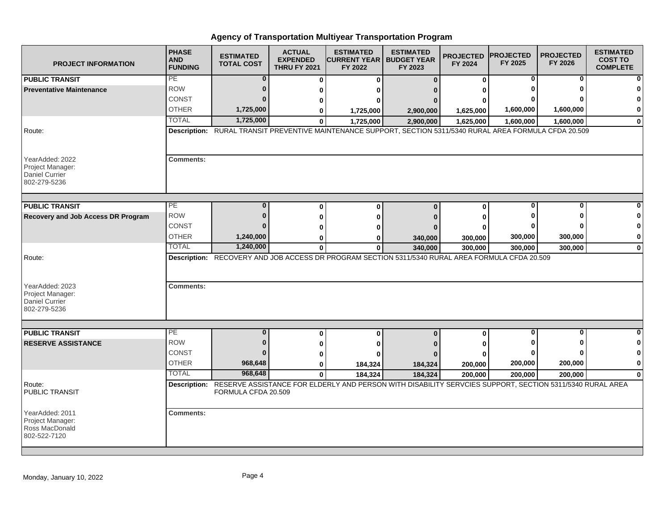| <b>PROJECT INFORMATION</b>                                                             | <b>PHASE</b><br><b>AND</b><br><b>FUNDING</b> | <b>ESTIMATED</b><br><b>TOTAL COST</b> | <b>ACTUAL</b><br><b>EXPENDED</b><br><b>THRU FY 2021</b> | <b>ESTIMATED</b><br><b>ICURRENT YEAR   BUDGET YEAR</b><br>FY 2022                                                     | <b>ESTIMATED</b><br>FY 2023 | <b>PROJECTED</b><br>FY 2024 | <b>IPROJECTED</b><br>FY 2025 | <b>PROJECTED</b><br>FY 2026 | <b>ESTIMATED</b><br><b>COST TO</b><br><b>COMPLETE</b> |
|----------------------------------------------------------------------------------------|----------------------------------------------|---------------------------------------|---------------------------------------------------------|-----------------------------------------------------------------------------------------------------------------------|-----------------------------|-----------------------------|------------------------------|-----------------------------|-------------------------------------------------------|
| <b>PUBLIC TRANSIT</b>                                                                  | PE                                           | $\bf{0}$                              | $\bf{0}$                                                | $\bf{0}$                                                                                                              | $\bf{0}$                    | 0                           | $\bf{0}$                     | $\bf{0}$                    |                                                       |
| <b>Preventative Maintenance</b>                                                        | <b>ROW</b>                                   | $\bf{0}$                              | 0                                                       | ŋ                                                                                                                     |                             | ŋ                           |                              | n                           |                                                       |
|                                                                                        | CONST                                        | $\bf{0}$                              | 0                                                       | ŋ                                                                                                                     |                             |                             |                              |                             |                                                       |
|                                                                                        | <b>OTHER</b>                                 | 1,725,000                             | 0                                                       | 1,725,000                                                                                                             | 2,900,000                   | 1,625,000                   | 1,600,000                    | 1,600,000                   | 0                                                     |
|                                                                                        | <b>TOTAL</b>                                 | 1,725,000                             | $\bf{0}$                                                | 1,725,000                                                                                                             | 2,900,000                   | 1,625,000                   | 1,600,000                    | 1,600,000                   | 0                                                     |
| Route:                                                                                 |                                              |                                       |                                                         | Description: RURAL TRANSIT PREVENTIVE MAINTENANCE SUPPORT, SECTION 5311/5340 RURAL AREA FORMULA CFDA 20.509           |                             |                             |                              |                             |                                                       |
| YearAdded: 2022<br>Project Manager:<br><b>Daniel Currier</b><br>802-279-5236           | <b>Comments:</b>                             |                                       |                                                         |                                                                                                                       |                             |                             |                              |                             |                                                       |
| <b>PUBLIC TRANSIT</b>                                                                  | PE                                           | $\bf{0}$                              | $\bf{0}$                                                | $\bf{0}$                                                                                                              | $\Omega$                    | $\bf{0}$                    | $\mathbf 0$                  | O                           |                                                       |
| <b>Recovery and Job Access DR Program</b>                                              | <b>ROW</b>                                   | $\bf{0}$                              | 0                                                       | $\bf{0}$                                                                                                              |                             | ŋ                           |                              | O                           | 0                                                     |
|                                                                                        | CONST                                        | n                                     | 0                                                       | ŋ                                                                                                                     |                             | ŋ                           |                              |                             | $\mathbf 0$                                           |
|                                                                                        | <b>OTHER</b>                                 | 1,240,000                             | 0                                                       | 0                                                                                                                     | 340,000                     | 300,000                     | 300,000                      | 300,000                     | 0                                                     |
|                                                                                        | <b>TOTAL</b>                                 | 1,240,000                             | $\mathbf{0}$                                            | $\mathbf{0}$                                                                                                          | 340,000                     | 300,000                     | 300,000                      | 300,000                     | $\mathbf 0$                                           |
| Route:<br>YearAdded: 2023<br>Project Manager:<br><b>Daniel Currier</b><br>802-279-5236 | <b>Comments:</b>                             |                                       |                                                         | Description: RECOVERY AND JOB ACCESS DR PROGRAM SECTION 5311/5340 RURAL AREA FORMULA CFDA 20.509                      |                             |                             |                              |                             |                                                       |
|                                                                                        |                                              |                                       |                                                         |                                                                                                                       |                             |                             |                              |                             |                                                       |
| <b>PUBLIC TRANSIT</b>                                                                  | PE                                           | $\bf{0}$                              | 0                                                       | $\bf{0}$                                                                                                              | $\Omega$                    | 0                           | $\bf{0}$                     | $\bf{0}$                    | 0                                                     |
| <b>RESERVE ASSISTANCE</b>                                                              | <b>ROW</b>                                   | $\bf{0}$                              | 0                                                       | ŋ                                                                                                                     |                             | ŋ                           |                              | O                           | 0                                                     |
|                                                                                        | CONST                                        | $\Omega$                              | $\bf{0}$                                                | ŋ                                                                                                                     |                             | ŋ                           |                              |                             | 0                                                     |
|                                                                                        | <b>OTHER</b>                                 | 968,648                               | 0                                                       | 184,324                                                                                                               | 184,324                     | 200,000                     | 200,000                      | 200,000                     | 0                                                     |
|                                                                                        | <b>TOTAL</b>                                 | 968,648                               | $\bf{0}$                                                | 184,324                                                                                                               | 184,324                     | 200,000                     | 200,000                      | 200,000                     | 0                                                     |
| Route:<br>PUBLIC TRANSIT                                                               |                                              | FORMULA CFDA 20.509                   |                                                         | Description: RESERVE ASSISTANCE FOR ELDERLY AND PERSON WITH DISABILITY SERVCIES SUPPORT, SECTION 5311/5340 RURAL AREA |                             |                             |                              |                             |                                                       |
| YearAdded: 2011<br>Project Manager:<br>Ross MacDonald<br>802-522-7120                  | <b>Comments:</b>                             |                                       |                                                         |                                                                                                                       |                             |                             |                              |                             |                                                       |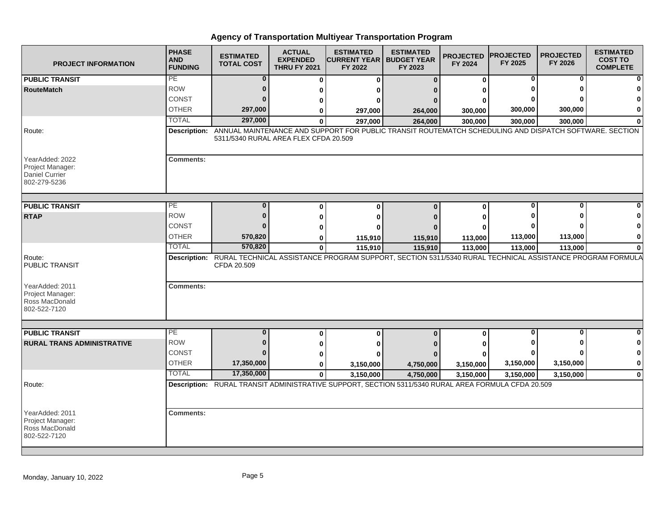| <b>PROJECT INFORMATION</b>                                                   | <b>PHASE</b><br><b>AND</b><br><b>FUNDING</b> | <b>ESTIMATED</b><br><b>TOTAL COST</b> | <b>ACTUAL</b><br><b>EXPENDED</b><br><b>THRU FY 2021</b> | <b>ESTIMATED</b><br><b>CURRENT YEAR   BUDGET YEAR</b><br>FY 2022                                                      | <b>ESTIMATED</b><br>FY 2023 | <b>PROJECTED</b><br>FY 2024 | <b>PROJECTED</b><br>FY 2025 | <b>PROJECTED</b><br>FY 2026 | <b>ESTIMATED</b><br><b>COST TO</b><br><b>COMPLETE</b> |
|------------------------------------------------------------------------------|----------------------------------------------|---------------------------------------|---------------------------------------------------------|-----------------------------------------------------------------------------------------------------------------------|-----------------------------|-----------------------------|-----------------------------|-----------------------------|-------------------------------------------------------|
| <b>PUBLIC TRANSIT</b>                                                        | PE                                           | $\bf{0}$                              | $\bf{0}$                                                | $\bf{0}$                                                                                                              | $\Omega$                    | 0                           | 0                           | 0                           | ŋ                                                     |
| <b>RouteMatch</b>                                                            | <b>ROW</b>                                   | $\bf{0}$                              | ŋ                                                       | ŋ                                                                                                                     |                             |                             |                             |                             |                                                       |
|                                                                              | CONST                                        | $\Omega$                              | 0                                                       | 0                                                                                                                     |                             | ŋ                           |                             |                             |                                                       |
|                                                                              | <b>OTHER</b>                                 | 297,000                               | 0                                                       | 297,000                                                                                                               | 264,000                     | 300,000                     | 300,000                     | 300,000                     | 0                                                     |
|                                                                              | <b>TOTAL</b>                                 | 297,000                               | Û                                                       | 297,000                                                                                                               | 264,000                     | 300,000                     | 300,000                     | 300,000                     | $\Omega$                                              |
| Route:                                                                       | <b>Description:</b>                          | 5311/5340 RURAL AREA FLEX CFDA 20.509 |                                                         | ANNUAL MAINTENANCE AND SUPPORT FOR PUBLIC TRANSIT ROUTEMATCH SCHEDULING AND DISPATCH SOFTWARE. SECTION                |                             |                             |                             |                             |                                                       |
| YearAdded: 2022<br>Project Manager:<br><b>Daniel Currier</b><br>802-279-5236 | <b>Comments:</b>                             |                                       |                                                         |                                                                                                                       |                             |                             |                             |                             |                                                       |
| <b>PUBLIC TRANSIT</b>                                                        | PE                                           | $\bf{0}$                              | 0                                                       | $\mathbf{0}$                                                                                                          | $\mathbf{0}$                | $\bf{0}$                    | 0                           | ŋ                           |                                                       |
| <b>RTAP</b>                                                                  | <b>ROW</b>                                   | $\bf{0}$                              | ŋ                                                       | $\bf{0}$                                                                                                              |                             | ŋ                           |                             |                             |                                                       |
|                                                                              | <b>CONST</b>                                 | $\Omega$                              | ŋ                                                       | U                                                                                                                     |                             | ŋ                           |                             |                             | 0                                                     |
|                                                                              | <b>OTHER</b>                                 | 570,820                               | 0                                                       | 115,910                                                                                                               | 115,910                     | 113,000                     | 113,000                     | 113,000                     | 0                                                     |
|                                                                              | <b>TOTAL</b>                                 | 570,820                               | $\bf{0}$                                                | 115,910                                                                                                               | 115,910                     | 113,000                     | 113,000                     | 113,000                     | $\bf{0}$                                              |
| Route:<br>PUBLIC TRANSIT                                                     |                                              | CFDA 20.509                           |                                                         | Description: RURAL TECHNICAL ASSISTANCE PROGRAM SUPPORT, SECTION 5311/5340 RURAL TECHNICAL ASSISTANCE PROGRAM FORMULA |                             |                             |                             |                             |                                                       |
| YearAdded: 2011<br>Project Manager:<br>Ross MacDonald<br>802-522-7120        | <b>Comments:</b>                             |                                       |                                                         |                                                                                                                       |                             |                             |                             |                             |                                                       |
| <b>PUBLIC TRANSIT</b>                                                        | PE                                           | $\bf{0}$                              | 0                                                       | 0                                                                                                                     | $\bf{0}$                    | 0                           | $\Omega$                    | O                           |                                                       |
| <b>RURAL TRANS ADMINISTRATIVE</b>                                            | <b>ROW</b>                                   | $\bf{0}$                              | 0                                                       | 0                                                                                                                     |                             |                             |                             |                             | 0                                                     |
|                                                                              | <b>CONST</b>                                 | $\Omega$                              | 0                                                       | ŋ                                                                                                                     |                             |                             |                             |                             | 0                                                     |
|                                                                              | <b>OTHER</b>                                 | 17,350,000                            | 0                                                       | 3,150,000                                                                                                             | 4,750,000                   | 3,150,000                   | 3,150,000                   | 3,150,000                   | 0                                                     |
|                                                                              | <b>TOTAL</b>                                 | 17,350,000                            | $\bf{0}$                                                | 3,150,000                                                                                                             | 4,750,000                   | 3,150,000                   | 3,150,000                   | 3,150,000                   | $\mathbf 0$                                           |
| Route:                                                                       |                                              |                                       |                                                         | Description: RURAL TRANSIT ADMINISTRATIVE SUPPORT, SECTION 5311/5340 RURAL AREA FORMULA CFDA 20.509                   |                             |                             |                             |                             |                                                       |
| YearAdded: 2011<br>Project Manager:<br>Ross MacDonald<br>802-522-7120        | <b>Comments:</b>                             |                                       |                                                         |                                                                                                                       |                             |                             |                             |                             |                                                       |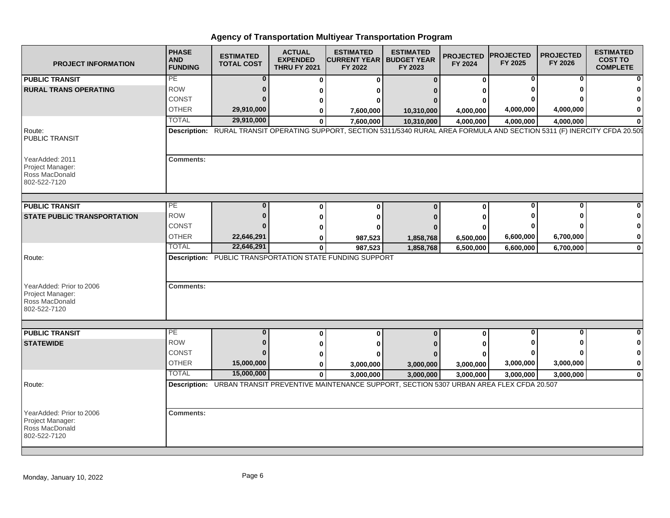| <b>PROJECT INFORMATION</b>                                                               | <b>PHASE</b><br><b>AND</b><br><b>FUNDING</b> | <b>ESTIMATED</b><br><b>TOTAL COST</b> | <b>ACTUAL</b><br><b>EXPENDED</b><br><b>THRU FY 2021</b> | <b>ESTIMATED</b><br><b>CURRENT YEAR   BUDGET YEAR</b><br>FY 2022                                                             | <b>ESTIMATED</b><br>FY 2023 | <b>PROJECTED</b><br>FY 2024 | <b>PROJECTED</b><br>FY 2025 | <b>PROJECTED</b><br>FY 2026 | <b>ESTIMATED</b><br><b>COST TO</b><br><b>COMPLETE</b> |
|------------------------------------------------------------------------------------------|----------------------------------------------|---------------------------------------|---------------------------------------------------------|------------------------------------------------------------------------------------------------------------------------------|-----------------------------|-----------------------------|-----------------------------|-----------------------------|-------------------------------------------------------|
| <b>PUBLIC TRANSIT</b>                                                                    | <b>PE</b>                                    | $\bf{0}$                              | $\Omega$                                                | O                                                                                                                            | $\Omega$                    | 0                           | 0                           | 0                           |                                                       |
| <b>RURAL TRANS OPERATING</b>                                                             | <b>ROW</b>                                   | 0                                     |                                                         |                                                                                                                              |                             |                             |                             |                             |                                                       |
|                                                                                          | <b>CONST</b>                                 |                                       |                                                         |                                                                                                                              |                             |                             |                             |                             |                                                       |
|                                                                                          | <b>OTHER</b>                                 | 29,910,000                            |                                                         | 7,600,000                                                                                                                    | 10,310,000                  | 4,000,000                   | 4,000,000                   | 4,000,000                   | 0                                                     |
|                                                                                          | <b>TOTAL</b>                                 | 29,910,000                            | $\bf{0}$                                                | 7,600,000                                                                                                                    | 10,310,000                  | 4,000,000                   | 4,000,000                   | 4,000,000                   | $\mathbf 0$                                           |
| Route:<br><b>PUBLIC TRANSIT</b>                                                          |                                              |                                       |                                                         | Description: RURAL TRANSIT OPERATING SUPPORT, SECTION 5311/5340 RURAL AREA FORMULA AND SECTION 5311 (F) INERCITY CFDA 20.509 |                             |                             |                             |                             |                                                       |
| YearAdded: 2011<br>Project Manager:<br>Ross MacDonald<br>802-522-7120                    | <b>Comments:</b>                             |                                       |                                                         |                                                                                                                              |                             |                             |                             |                             |                                                       |
| <b>PUBLIC TRANSIT</b>                                                                    | PE                                           |                                       | O                                                       | $\Omega$                                                                                                                     | $\Omega$                    | $\mathbf{0}$                | $\bf{0}$                    | O                           |                                                       |
| <b>STATE PUBLIC TRANSPORTATION</b>                                                       | <b>ROW</b>                                   | $\Omega$                              |                                                         | o                                                                                                                            |                             | ŋ                           |                             |                             |                                                       |
|                                                                                          | <b>CONST</b>                                 |                                       |                                                         |                                                                                                                              |                             |                             |                             |                             | 0                                                     |
|                                                                                          | <b>OTHER</b>                                 | 22,646,291                            | 0                                                       | 987,523                                                                                                                      |                             |                             | 6,600,000                   | 6,700,000                   | 0                                                     |
|                                                                                          | <b>TOTAL</b>                                 | 22,646,291                            | 0                                                       | 987,523                                                                                                                      | 1,858,768<br>1,858,768      | 6,500,000<br>6,500,000      | 6,600,000                   | 6,700,000                   | 0                                                     |
| Route:<br>YearAdded: Prior to 2006<br>Project Manager:<br>Ross MacDonald<br>802-522-7120 | <b>Comments:</b>                             |                                       |                                                         | <b>Description: PUBLIC TRANSPORTATION STATE FUNDING SUPPORT</b>                                                              |                             |                             |                             |                             |                                                       |
|                                                                                          |                                              |                                       |                                                         |                                                                                                                              |                             |                             |                             |                             |                                                       |
| <b>PUBLIC TRANSIT</b>                                                                    | PE.                                          | $\bf{0}$                              | $\bf{0}$                                                | $\bf{0}$                                                                                                                     | $\bf{0}$                    | 0                           | $\bf{0}$                    | $\bf{0}$                    | $\Omega$                                              |
| <b>STATEWIDE</b>                                                                         | <b>ROW</b>                                   | $\Omega$                              | 0                                                       | 0                                                                                                                            |                             |                             |                             |                             | 0                                                     |
|                                                                                          | CONST                                        | $\Omega$                              | 0                                                       |                                                                                                                              |                             |                             |                             | n                           | 0                                                     |
|                                                                                          | <b>OTHER</b>                                 | 15,000,000                            | 0                                                       | 3,000,000                                                                                                                    | 3,000,000                   | 3,000,000                   | 3,000,000                   | 3,000,000                   | 0                                                     |
|                                                                                          | <b>TOTAL</b>                                 | 15,000,000                            | $\mathbf{0}$                                            | 3,000,000                                                                                                                    | 3,000,000                   | 3,000,000                   | 3,000,000                   | 3,000,000                   | 0                                                     |
| Route:                                                                                   |                                              |                                       |                                                         | Description: URBAN TRANSIT PREVENTIVE MAINTENANCE SUPPORT, SECTION 5307 URBAN AREA FLEX CFDA 20.507                          |                             |                             |                             |                             |                                                       |
| YearAdded: Prior to 2006<br>Project Manager:<br>Ross MacDonald<br>802-522-7120           | <b>Comments:</b>                             |                                       |                                                         |                                                                                                                              |                             |                             |                             |                             |                                                       |